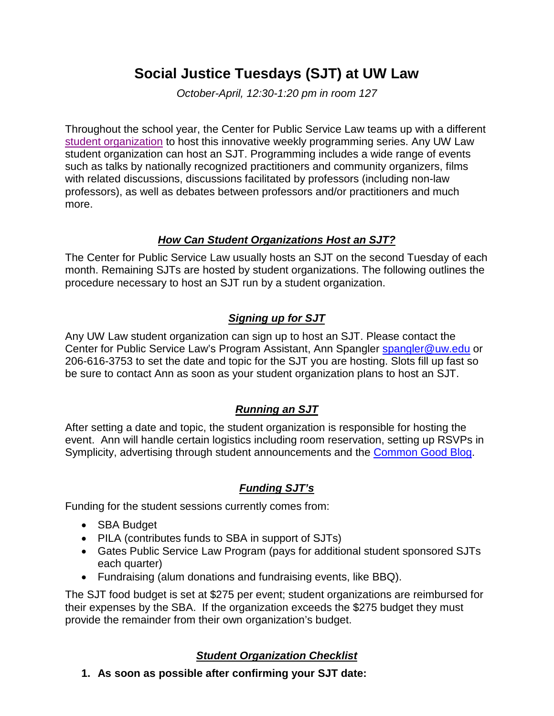# **Social Justice Tuesdays (SJT) at UW Law**

*October-April, 12:30-1:20 pm in room 127*

Throughout the school year, the Center for Public Service Law teams up with a different [student organization](http://www.law.washington.edu/Students/Orgs/default.aspx) to host this innovative weekly programming series. Any UW Law student organization can host an SJT. Programming includes a wide range of events such as talks by nationally recognized practitioners and community organizers, films with related discussions, discussions facilitated by professors (including non-law professors), as well as debates between professors and/or practitioners and much more.

#### *How Can Student Organizations Host an SJT?*

The Center for Public Service Law usually hosts an SJT on the second Tuesday of each month. Remaining SJTs are hosted by student organizations. The following outlines the procedure necessary to host an SJT run by a student organization.

# *Signing up for SJT*

Any UW Law student organization can sign up to host an SJT. Please contact the Center for Public Service Law's Program Assistant, Ann Spangler [spangler@uw.edu](mailto:spangler@uw.edu) or 206-616-3753 to set the date and topic for the SJT you are hosting. Slots fill up fast so be sure to contact Ann as soon as your student organization plans to host an SJT.

## *Running an SJT*

After setting a date and topic, the student organization is responsible for hosting the event. Ann will handle certain logistics including room reservation, setting up RSVPs in Symplicity, advertising through student announcements and the Common Good Blog.

## *Funding SJT's*

Funding for the student sessions currently comes from:

- SBA Budget
- PILA (contributes funds to SBA in support of SJTs)
- Gates Public Service Law Program (pays for additional student sponsored SJTs each quarter)
- Fundraising (alum donations and fundraising events, like BBQ).

The SJT food budget is set at \$275 per event; student organizations are reimbursed for their expenses by the SBA. If the organization exceeds the \$275 budget they must provide the remainder from their own organization's budget.

## *Student Organization Checklist*

**1. As soon as possible after confirming your SJT date:**